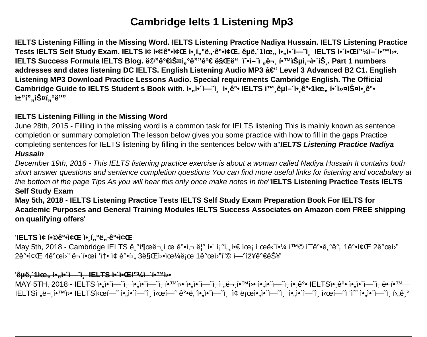# **Cambridge Ielts 1 Listening Mp3**

**IELTS Listening Filling in the Missing Word. IELTS Listening Practice Nadiya Hussain. IELTS Listening Practice** Tests IELTS Self Study Exam. IELTS i¢ 합강좌 ì• í"°ë"·ê°•좌. êµë, ´1ìœ,, ì•, ì• î—~î lELTS ì• î•Œí"¼ì- í•™ì>•. **IELTS Success Formula IELTS Blog. ë©"가스í"°ë""ê°€ ë§Œë" i ັ∙ì− î "ë¬ູ 학습ì,¬ì•´íŠູ. Part 1 numbers** addresses and dates listening DC IELTS. English Listening Audio MP3 – Level 3 Advanced B2 C1. English **Listening MP3 Download Practice Lessons Audio. Special requirements Cambridge English. The Official** Cambridge Guide to IELTS Student s Book with. **i**•, i• î– îj i•, ê°• IELTS i™ êµì– î• ê°•1ìœ,, i• 스ì•, ê°• ì±"í"..스í..°ë""

## **IELTS Listening Filling in the Missing Word**

June 28th, 2015 - Filling in the missing word is a common task for IELTS listening This is mainly known as sentence completion or summary completion The lesson below gives you some practice with how to fill in the gaps Practice completing sentences for IELTS listening by filling in the sentences below with a''**IELTS Listening Practice Nadiya Hussain**

December 19th, 2016 - This IELTS listening practice exercise is about a woman called Nadiya Hussain It contains both short answer questions and sentence completion questions You can find more useful links for listening and vocabulary at the bottom of the page Tips As you will hear this only once make notes In the''**IELTS Listening Practice Tests IELTS Self Study Exam**

**May 5th, 2018 - IELTS Listening Practice Tests IELTS Self Study Exam Preparation Book For IELTS for Academic Purposes and General Training Modules IELTS Success Associates on Amazon com FREE shipping on qualifying offers**'

# '**IELTS ì¢ í•©ê°•ì¢Œ ì•** í"°ë"·ê°•좌

May 5th, 2018 - Cambridge IELTS ê °ì¶œë¬ ì œ ê°•ì.¬ 린 ì•´ ì¡°ì.. í•€ ìœi ì œë‹^핼 황 ì^~ê°•ê °ê°.. 1강좌 2개월  $2\hat{e}^{\circ}$ •i¢Œ  $4\hat{e}^{\circ}$ œi<sup>,</sup>" ë¬ '한i 'i†• i¢  $\hat{e}^{\circ}$ •í›,,  $3\ddot{e}S(E)$ •iœ¼ë<sub>i</sub>œ  $1\hat{e}^{\circ}$ œi<sup></sup><sup></sup>'i'© i—°iž¥ê $^{\circ}$ ۑ $\check{S}$ ¥'

#### 'êµë, 1ìœ,, ì•,,ì•´ì—¨ì, -IELTS ì•´i•Œí"¼ì—´í•™ì›•

MAY 5TH, 2018 - IELTS ì•,ì•´ì—~ì, ì•,ì•´ì—~ì, 학웕 ì•,ì•´ì—~ì, ì "ë¬,학웕 ì•,ì•´ì—~ì, ì•,ê°• IELTSì•,ê°• ì•,ì•´ì—~ì, ë• í•™ IELTSì "ë¬ í•™ì›• IELTS시í—~̃ì•"ì•´ì—~ì, 시í—~ ê°•ë, ï•"ì•´ì—~ì, ì¢ ë¡œì•"ì•´ì—~ì, ì•∰i•´ì—~î, ì•"i—¨ì, 후ê-º